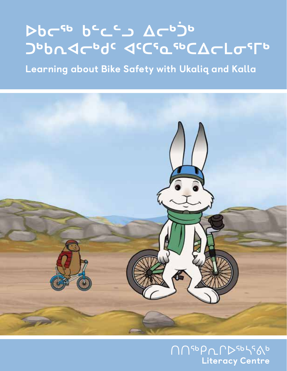# DPC PCC 7 740 PP JODAJCOOC JCCSQSOCACL0550

Learning about Bike Safety with Ukaliq and Kalla



**NUSODLPDSOSSAD** Literacy Centre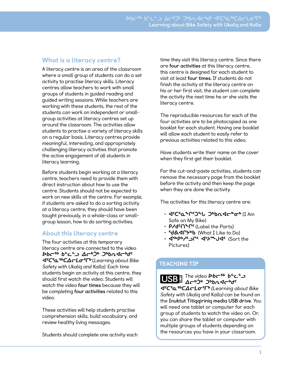#### What is a literacy centre?

A literacy centre is an area of the classroom where a small group of students can do a set activity to practise literacy skills. Literacy centres allow teachers to work with small groups of students in guided reading and guided writing sessions. While teachers are working with these students, the rest of the students can work on independent or smallgroup activities at literacy centres set up around the classroom. The activities allow students to practise a variety of literacy skills on a regular basis. Literacy centres provide meaningful, interesting, and appropriately challenging literacy activities that promote the active engagement of all students in literacy learning.

Before students begin working at a literacy centre, teachers need to provide them with direct instruction about how to use the centre. Students should not be expected to work on new skills at the centre. For example, if students are asked to do a sorting activity at a literacy centre, they should have been taught previously, in a whole-class or smallgroup lesson, how to do sorting activities.

#### About this literacy centre

The four activities at this temporary literacy centre are connected to the video **ᐅᑲᓕᖅ ᑲᓪᓚᓪᓗ ᐃᓕᒃᑑᒃ ᑐᒃᑲᕆᐊᓕᒃᑯᑦ ᐊᑦᑕᕐᓇᖅᑕᐃᓕᒪᓂᕐᒥᒃ** (Learning about Bike Safety with Ukaliq and Kalla). Each time students begin an activity at this centre, they should first watch the video. Students will watch the video **four times** because they will be completing **four activities** related to this video.

These activities will help students practise comprehension skills, build vocabulary, and review healthy living messages.

Students should complete one activity each

time they visit this literacy centre. Since there are **four activities** at this literacy centre, this centre is designed for each student to visit at least **four times.** If students do not finish the activity at the literacy centre on his or her first visit, the student can complete the activity the next time he or she visits the literacy centre.

The reproducible resources for each of the four activities are to be photocopied as one booklet for each student. Having one booklet will allow each student to easily refer to previous activities related to this video.

Have students write their name on the cover when they first get their booklet.

For the cut-and-paste activities, students can remove the necessary page from the booklet before the activity and then keep the page when they are done the activity.

The activities for this literacy centre are:

- **ᐊᑦᑕᕐᓇᖕᒋᑦᑐᖕᒐ ᑐᒃᑲᕆᐊᓕᓐᓂᒃ** (I Am Safe on My Bike)
- **ᑭᓱᑯᑦᑎᖕᒋᑦ** (Label the Parts)
- **ᖁᕕᐊᒋᔭᒃᑲ** (What I Like to Do)
- **ᐋᖅᑭᒃᓱᕐᓗᒋᑦ ᐊᔾᔨᖖᒍᐊᑦ** (Sort the Pictures)

#### TEACHING TIP

**Cے C G ideo C+C حے ک ᐃᓕᒃᑑᒃ ᑐᒃᑲᕆᐊᓕᒃᑯᑦ ᐊᑦᑕᕐᓇᖅᑕᐃᓕᒪᓂᕐᒥᒃ** (Learning about Bike Safety with Ukaliq and Kalla) can be found on the **Inuktut Titiqqiriniq media USB drive**. You will need one tablet or computer for each group of students to watch the video on. Or, you can share the tablet or computer with multiple groups of students depending on

the resources you have in your classroom.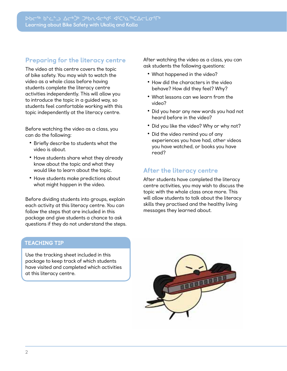#### Preparing for the literacy centre

The video at this centre covers the topic of bike safety. You may wish to watch the video as a whole class before having students complete the literacy centre activities independently. This will allow you to introduce the topic in a guided way, so students feel comfortable working with this topic independently at the literacy centre.

Before watching the video as a class, you can do the following:

- **•** Briefly describe to students what the video is about.
- **•** Have students share what they already know about the topic and what they would like to learn about the topic.
- **•** Have students make predictions about what might happen in the video.

Before dividing students into groups, explain each activity at this literacy centre. You can follow the steps that are included in this package and give students a chance to ask questions if they do not understand the steps. After watching the video as a class, you can ask students the following questions:

- **•** What happened in the video?
- **•** How did the characters in the video behave? How did they feel? Why?
- **•** What lessons can we learn from the video?
- **•** Did you hear any new words you had not heard before in the video?
- **•** Did you like the video? Why or why not?
- **•** Did the video remind you of any experiences you have had, other videos you have watched, or books you have read?

#### After the literacy centre

After students have completed the literacy centre activities, you may wish to discuss the topic with the whole class once more. This will allow students to talk about the literacy skills they practised and the healthy living messages they learned about.

#### TEACHING TIP

Use the tracking sheet included in this package to keep track of which students have visited and completed which activities at this literacy centre.

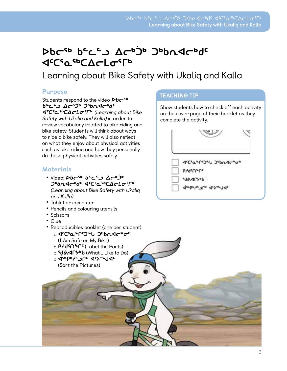### **ᐅᑲᓕᖅ ᑲᓪᓚᓪᓗ ᐃᓕᒃᑑᒃ ᑐᒃᑲᕆᐊᓕᒃᑯᑦ JCSO SPORTS**

Learning about Bike Safety with Ukaliq and Kalla

#### Purpose

Students respond to the video  $\mathcal{D}b\mathcal{C}^{\mathsf{sb}}$ **ᑲᓪᓚᓪᓗ ᐃᓕᒃᑑᒃ ᑐᒃᑲᕆᐊᓕᒃᑯᑦ ᐊᑦᑕᕐᓇᖅᑕᐃᓕᒪᓂᕐᒥᒃ** (Learning about Bike Safety with Ukaliq and Kalla) in order to review vocabulary related to bike riding and bike safety. Students will think about ways to ride a bike safely. They will also reflect on what they enjoy about physical activities such as bike riding and how they personally do these physical activities safely.

#### **Materials**

- Video: حثوبه **bc<sup>sb</sup> ك ᑐᒃᑲᕆᐊᓕᒃᑯᑦ ᐊᑦᑕᕐᓇᖅᑕᐃᓕᒪᓂᕐᒥᒃ**  (Learning about Bike Safety with Ukaliq and Kalla)
- **•** Tablet or computer
- **•** Pencils and colouring utensils
- **•** Scissors
- **•** Glue
- **•** Reproducibles booklet (one per student):
	- ɐ **ᐊᑦᑕᕐᓇᖕᒋᑦᑐᖕᒐ ᑐᒃᑲᕆᐊᓕᓐᓂᒃ** (I Am Safe on My Bike)
	- **P/dናበ<sup>ዔ</sup>Րና (Label the Parts)**
	- ɐ **ᖁᕕᐊᒋᔭᒃᑲ (**What I Like to Do)
	- <sup>○</sup> ଏେ ଡାଧ<sub>ୁ</sub> ଏକ (Sort the Pictures)

#### TEACHING TIP

Show students how to check off each activity on the cover page of their booklet as they complete the activity.

| ぐぐらん へいつし つっしょうじゅう |
|--------------------|
| byqcUrbe           |
| <b>GA-LP V9P</b>   |
| deebs'r Juc 4b     |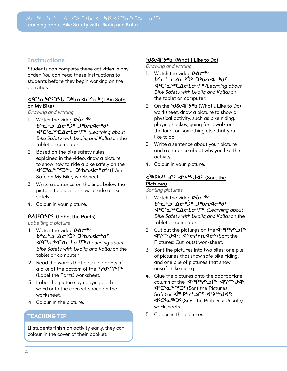#### **Instructions**

Students can complete these activities in any order. You can read these instructions to students before they begin working on the activities.

#### **ᐊᑦᑕᕐᓇᖕᒋᑦᑐᖕᒐ ᑐᒃᑲᕆᐊᓕᓐᓂᒃ (I Am Safe on My Bike)**

Drawing and writing

- 1. Watch the video *Db*<sup>5</sup> **ᑲᓪᓚᓪᓗ ᐃᓕᒃᑑᒃ ᑐᒃᑲᕆᐊᓕᒃᑯᑦ ᐊᑦᑕᕐᓇᖅᑕᐃᓕᒪᓂᕐᒥᒃ** (Learning about Bike Safety with Ukaliq and Kalla) on the tablet or computer.
- 2. Based on the bike safety rules explained in the video, draw a picture to show how to ride a bike safely on the **ᐊᑦᑕᕐᓇᖕᒋᑦᑐᖕᒐ ᑐᒃᑲᕆᐊᓕᓐᓂᒃ** (I Am Safe on My Bike) worksheet.
- 3. Write a sentence on the lines below the picture to describe how to ride a bike safely.
- 4. Colour in your picture.

#### **ᑭᓱᑯᑦᑎᖕᒋᑦ (Label the Parts)**

Labelling a picture

- 1. Watch the video *Db*<sup>5</sup> **ᑲᓪᓚᓪᓗ ᐃᓕᒃᑑᒃ ᑐᒃᑲᕆᐊᓕᒃᑯᑦ ᐊᑦᑕᕐᓇᖅᑕᐃᓕᒪᓂᕐᒥᒃ** (Learning about Bike Safety with Ukaliq and Kalla) on the tablet or computer.
- 2. Read the words that describe parts of a bike at the bottom of the **ᑭᓱᑯᑦᑎᖕᒋᑦ** (Label the Parts) worksheet.
- 3. Label the picture by copying each word onto the correct space on the worksheet.
- 4. Colour in the picture.

#### TEACHING TIP

If students finish an activity early, they can colour in the cover of their booklet.

#### **ᖁᕕᐊᒋᔭᒃᑲ (What I Like to Do)**

Drawing and writing

- 1. Watch the video *Db* **ᑲᓪᓚᓪᓗ ᐃᓕᒃᑑᒃ ᑐᒃᑲᕆᐊᓕᒃᑯᑦ ᐊᑦᑕᕐᓇᖅᑕᐃᓕᒪᓂᕐᒥᒃ** (Learning about Bike Safety with Ukaliq and Kalla) on the tablet or computer.
- 2. On the **SdASP<sub>b</sub>b** (What I Like to Do) worksheet, draw a picture to show a physical activity, such as bike riding, playing hockey, going for a walk on the land, or something else that you like to do.
- 3. Write a sentence about your picture and a sentence about why you like the activity.
- 4. Colour in your picture.

#### **ᐋᖅᑭᒃᓱᕐᓗᒋᑦ ᐊᔾᔨᖖᒍᐊᑦ (Sort the Pictures)**

Sorting pictures

- 1. Watch the video *Db* **ᑲᓪᓚᓪᓗ ᐃᓕᒃᑑᒃ ᑐᒃᑲᕆᐊᓕᒃᑯᑦ ᐊᑦᑕᕐᓇᖅᑕᐃᓕᒪᓂᕐᒥᒃ** (Learning about Bike Safety with Ukaliq and Kalla) on the tablet or computer.
- 2. Cut out the pictures on the <iction **ᐊᔾᔨᖖᒍᐊᑦ: ᐊᓪᓕᕉᔭᕆᐊᓖᑦ** (Sort the Pictures: Cut-outs) worksheet.
- 3. Sort the pictures into two piles: one pile of pictures that show safe bike riding, and one pile of pictures that show unsafe bike riding.
- 4. Glue the pictures onto the appropriate column of the **Ispb<sub>e</sub> י¢ילי היירושו**ס קי **ᐊᑦᑕᕐᓇᖕᒋᑦᑐᑦ** (Sort the Pictures: Safe) or **∢**ispby's ገቦሩ ፈ\*አያ ሀብር: **ᐊᑦᑕᕐᓇᖅᑐᑦ** (Sort the Pictures: Unsafe) worksheets.
- 5. Colour in the pictures.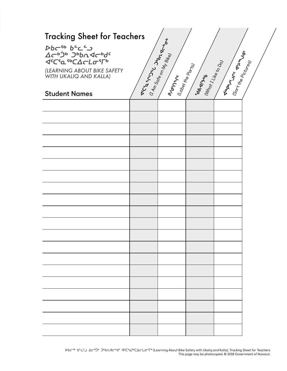| <b>Tracking Sheet for Teachers</b>                                                                                                                                                               |                    |                                                                                                       |                                     |                                                                 |  |  |  |  |  |  |
|--------------------------------------------------------------------------------------------------------------------------------------------------------------------------------------------------|--------------------|-------------------------------------------------------------------------------------------------------|-------------------------------------|-----------------------------------------------------------------|--|--|--|--|--|--|
| <b>Dbc<sup>sb</sup> b<sup>c</sup>c')</b><br>Δσ <sup>bjb</sup> Jbhdσbd <sup>c</sup><br><b><scfafocacl0ffd< b=""><br/>(LEARNING ABOUT BIKE SAFETY<br/>WITH UKALIQ AND KALLA)</scfafocacl0ffd<></b> | I Access May Mades | $\frac{(7A_{77}S_{\rm G}$ r <sub>6</sub> o <sub>n My Bit<sub>ley</sub></sub><br><b>Prosta</b><br>Mary | . (Lobel the Ports)<br><b>PARTA</b> | I Visports of Vise I<br>Whort I Hile to Do<br>Gort He Pictures) |  |  |  |  |  |  |
| <b>Student Names</b>                                                                                                                                                                             |                    |                                                                                                       |                                     |                                                                 |  |  |  |  |  |  |
|                                                                                                                                                                                                  |                    |                                                                                                       |                                     |                                                                 |  |  |  |  |  |  |
|                                                                                                                                                                                                  |                    |                                                                                                       |                                     |                                                                 |  |  |  |  |  |  |
|                                                                                                                                                                                                  |                    |                                                                                                       |                                     |                                                                 |  |  |  |  |  |  |
|                                                                                                                                                                                                  |                    |                                                                                                       |                                     |                                                                 |  |  |  |  |  |  |
|                                                                                                                                                                                                  |                    |                                                                                                       |                                     |                                                                 |  |  |  |  |  |  |
|                                                                                                                                                                                                  |                    |                                                                                                       |                                     |                                                                 |  |  |  |  |  |  |
|                                                                                                                                                                                                  |                    |                                                                                                       |                                     |                                                                 |  |  |  |  |  |  |
|                                                                                                                                                                                                  |                    |                                                                                                       |                                     |                                                                 |  |  |  |  |  |  |
|                                                                                                                                                                                                  |                    |                                                                                                       |                                     |                                                                 |  |  |  |  |  |  |
|                                                                                                                                                                                                  |                    |                                                                                                       |                                     |                                                                 |  |  |  |  |  |  |
|                                                                                                                                                                                                  |                    |                                                                                                       |                                     |                                                                 |  |  |  |  |  |  |
|                                                                                                                                                                                                  |                    |                                                                                                       |                                     |                                                                 |  |  |  |  |  |  |
|                                                                                                                                                                                                  |                    |                                                                                                       |                                     |                                                                 |  |  |  |  |  |  |
|                                                                                                                                                                                                  |                    |                                                                                                       |                                     |                                                                 |  |  |  |  |  |  |
|                                                                                                                                                                                                  |                    |                                                                                                       |                                     |                                                                 |  |  |  |  |  |  |
|                                                                                                                                                                                                  |                    |                                                                                                       |                                     |                                                                 |  |  |  |  |  |  |
|                                                                                                                                                                                                  |                    |                                                                                                       |                                     |                                                                 |  |  |  |  |  |  |
|                                                                                                                                                                                                  |                    |                                                                                                       |                                     |                                                                 |  |  |  |  |  |  |
|                                                                                                                                                                                                  |                    |                                                                                                       |                                     |                                                                 |  |  |  |  |  |  |
|                                                                                                                                                                                                  |                    |                                                                                                       |                                     |                                                                 |  |  |  |  |  |  |
|                                                                                                                                                                                                  |                    |                                                                                                       |                                     |                                                                 |  |  |  |  |  |  |

ᐅᑲᓕᖅ ᑲᓪᓚᓪᓗ ᐃᓕᒃᑑᒃ ᑐᒃᑲᕆᐊᓕᒃᑯᑦ ᐊᑦᑕᕐᓇᖅᑕᐃᓕᒪᓂᕐᒥᒃ (Learning About Bike Safety with Ukaliq and Kalla), Tracking Sheet for Teachers This page may be photocopied. © 2018 Government of Nunavut.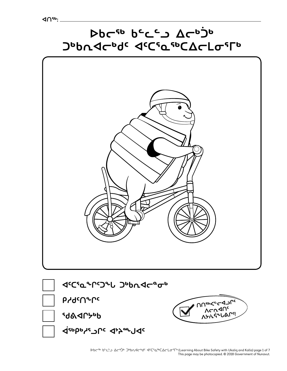

This page may be photocopied. © 2018 Government of Nunavut.

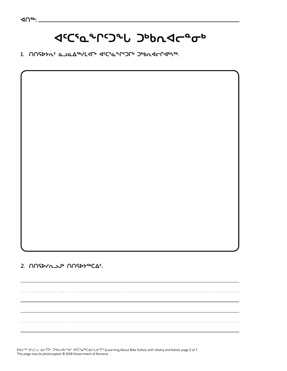# **ᐊᑦᑕᕐᓇᖕᒋᑦᑐᖕᒐ ᑐᒃᑲᕆᐊᓕᓐᓂᒃ**

**1. ᑎᑎᕋᐅᔭᕆᑦ ᓇᓗᓇᐃᖅᓯᒪᔪᒥᒃ ᐊᑦᑕᕐᓇᖕᒋᑦᑐᒥᒃ ᑐᒃᑲᕆᐊᓕᒋᐊᒃᓴᖅ.**

**2. ᑎᑎᕋᐅᓯᕆᓗᒍᒃ ᑎᑎᕋᐅᔭᖅᑕᐃᑦ.** 

ᐅᑲᓕᖅ ᑲᓪᓚᓪᓗ ᐃᓕᒃᑑᒃ ᑐᒃᑲᕆᐊᓕᒃᑯᑦ ᐊᑦᑕᕐᓇᖅᑕᐃᓕᒪᓂᕐᒥᒃ (Learning About Bike Safety with Ukaliq and Kalla), page 2 of 7 This page may be photocopied. © 2018 Government of Nunavut.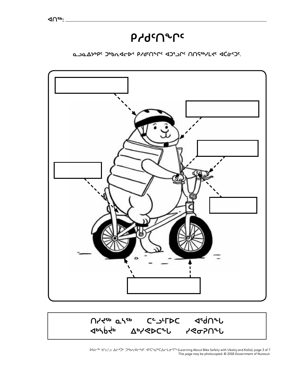



**ᓇᓗᓇᐃᔭᒃᑭᑦ ᑐᒃᑲᕆᐊᓕᐅᑉ ᑭᓱᑯᑦᑎᖕᒋᑦ ᐊᑐᕐᓗᒋᑦ ᑎᑎᕋᖅᓯᒪᔪᑦ ᐊᑖᓃᑦᑐᑦ.** 

# **ᑭᓱᑯᑦᑎᖕᒋᑦ**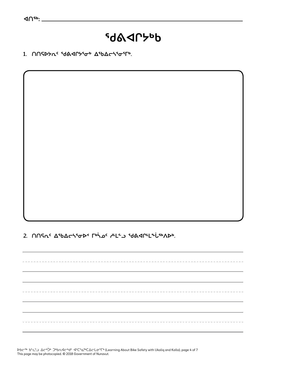### **ᖁᕕᐊᒋᔭᒃᑲ**

1. **∩∩ና**>ኦሴ<sup>ς ፍ</sup>ժል<በ><sup>\$</sup>σ<sup>6</sup> ΔερΔς δεσεις.

**2. ᑎᑎᕋᕆᑦ ᐃᖃᐃᓕᓴᕐᓂᐅᑉ ᒥᒃᓵᓄᑦ ᓱᒻᒪᓪᓗ ᖁᕕᐊᒋᒻᒪᖕᒑᖅᐱᐅᒃ.** 

ᐅᑲᓕᖅ ᑲᓪᓚᓪᓗ ᐃᓕᒃᑑᒃ ᑐᒃᑲᕆᐊᓕᒃᑯᑦ ᐊᑦᑕᕐᓇᖅᑕᐃᓕᒪᓂᕐᒥᒃ (Learning About Bike Safety with Ukaliq and Kalla), page 4 of 7 This page may be photocopied. © 2018 Government of Nunavut.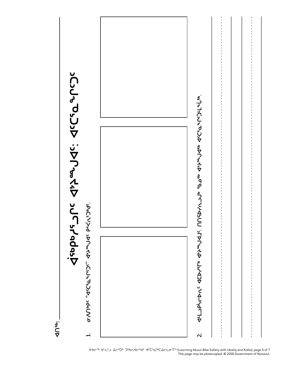

ᐅᑲᓕᖅ ᑲᓪᓚᓪᓗ ᐃᓕᒃᑑᒃ ᑐᒃᑲᕆᐊᓕᒃᑯᑦ ᐊᑦᑕᕐᓇᖅᑕᐃᓕᒪᓂᕐᒥᒃ (Learning About Bike Safety with Ukaliq and Kalla), page 5 of 7 This page may be photocopied. © 2018 Government of Nunavut.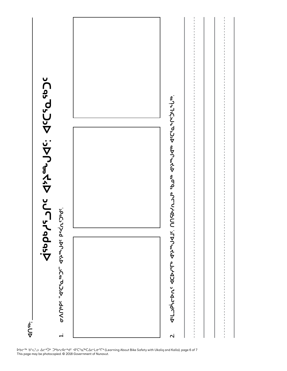



ᐅᑲᓕᖅ ᑲᓪᓚᓪᓗ ᐃᓕᒃᑑᒃ ᑐᒃᑲᕆᐊᓕᒃᑯᑦ ᐊᑦᑕᕐᓇᖅᑕᐃᓕᒪᓂᕐᒥᒃ (Learning About Bike Safety with Ukaliq and Kalla), page 6 of 7 This page may be photocopied. © 2018 Government of Nunavut.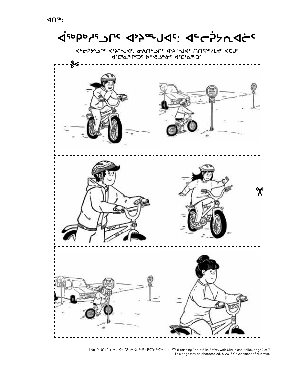

ᐅᑲᓕᖅ ᑲᓪᓚᓪᓗ ᐃᓕᒃᑑᒃ ᑐᒃᑲᕆᐊᓕᒃᑯᑦ ᐊᑦᑕᕐᓇᖅᑕᐃᓕᒪᓂᕐᒥᒃ (Learning About Bike Safety with Ukaliq and Kalla), page 7 of 7 This page may be photocopied. © 2018 Government of Nunavut.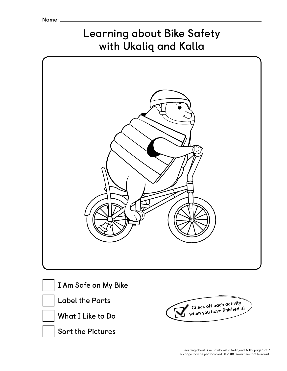## **Learning about Bike Safety with Ukaliq and Kalla**

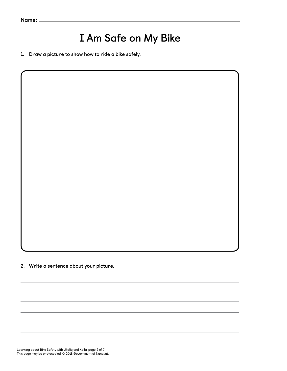**Name**:

### **I Am Safe on My Bike**

-----------------------------------

**1. Draw a picture to show how to ride a bike safely.** 

**2. Write a sentence about your picture.** 

Learning about Bike Safety with Ukaliq and Kalla, page 2 of 7 This page may be photocopied. © 2018 Government of Nunavut.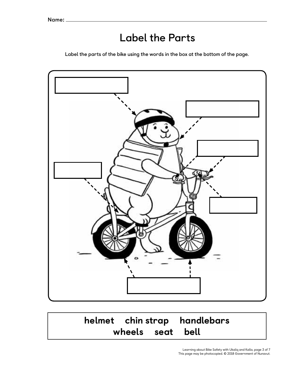### **Label the Parts**

**Label the parts of the bike using the words in the box at the bottom of the page.** 



### helmet chin strap handlebars wheels seat bell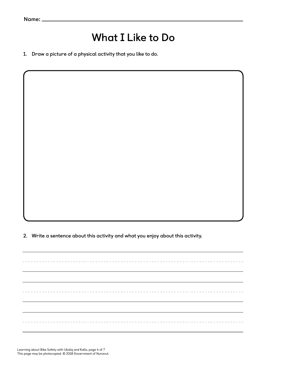**Name**:

### **What I Like to Do**

**1. Draw a picture of a physical activity that you like to do.** 

**2. Write a sentence about this activity and what you enjoy about this activity.**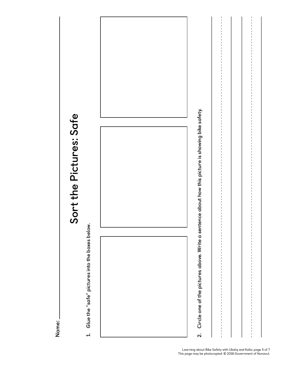| Sort the Pictures: Safe                        |                                                                                                   |               |
|------------------------------------------------|---------------------------------------------------------------------------------------------------|---------------|
|                                                |                                                                                                   |               |
|                                                |                                                                                                   |               |
|                                                |                                                                                                   |               |
|                                                |                                                                                                   |               |
|                                                |                                                                                                   |               |
|                                                |                                                                                                   |               |
|                                                |                                                                                                   |               |
|                                                |                                                                                                   |               |
| Glue the "safe" pictures into the boxes below. | Circle one of the pictures above. Write a sentence about how this picture is showing bike safety. |               |
|                                                |                                                                                                   |               |
|                                                |                                                                                                   |               |
|                                                |                                                                                                   |               |
|                                                |                                                                                                   | I.<br>I       |
| $\overline{a}$                                 | $\overline{a}$                                                                                    | $\frac{1}{1}$ |

**Name**: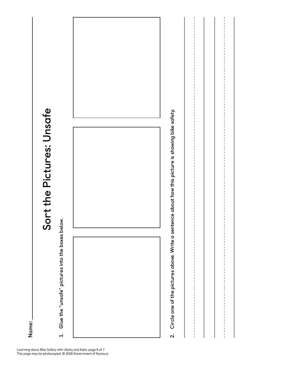

Glue the "unsafe" pictures into the boxes below. **1. Glue the "unsafe" pictures into the boxes below.**   $\overline{a}$ 



**2. Circle one of the pictures above. Write a sentence about how this picture is showing bike safety.**  Circle one of the pictures above. Write a sentence about how this picture is showing bike safety.  $\overline{\mathbf{v}}$ 

**Name**: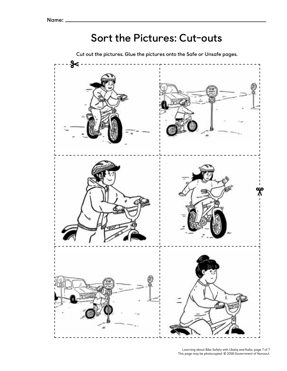### **Sort the Pictures: Cut-outs**

**Cut out the pictures. Glue the pictures onto the Safe or Unsafe pages.**